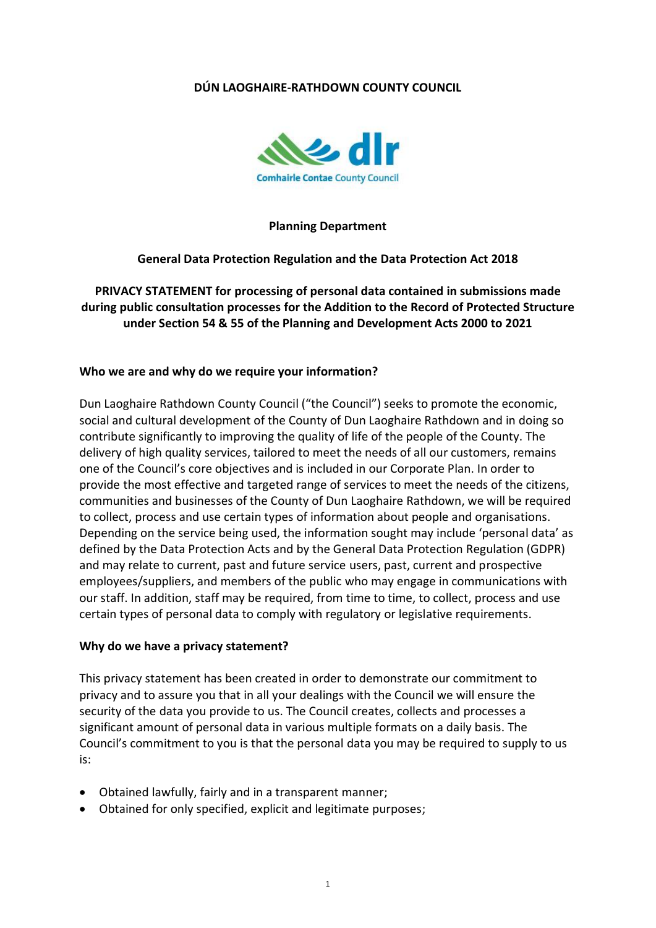## **DÚN LAOGHAIRE-RATHDOWN COUNTY COUNCIL**



#### **Planning Department**

#### **General Data Protection Regulation and the Data Protection Act 2018**

**PRIVACY STATEMENT for processing of personal data contained in submissions made during public consultation processes for the Addition to the Record of Protected Structure under Section 54 & 55 of the Planning and Development Acts 2000 to 2021**

#### **Who we are and why do we require your information?**

Dun Laoghaire Rathdown County Council ("the Council") seeks to promote the economic, social and cultural development of the County of Dun Laoghaire Rathdown and in doing so contribute significantly to improving the quality of life of the people of the County. The delivery of high quality services, tailored to meet the needs of all our customers, remains one of the Council's core objectives and is included in our Corporate Plan. In order to provide the most effective and targeted range of services to meet the needs of the citizens, communities and businesses of the County of Dun Laoghaire Rathdown, we will be required to collect, process and use certain types of information about people and organisations. Depending on the service being used, the information sought may include 'personal data' as defined by the Data Protection Acts and by the General Data Protection Regulation (GDPR) and may relate to current, past and future service users, past, current and prospective employees/suppliers, and members of the public who may engage in communications with our staff. In addition, staff may be required, from time to time, to collect, process and use certain types of personal data to comply with regulatory or legislative requirements.

#### **Why do we have a privacy statement?**

This privacy statement has been created in order to demonstrate our commitment to privacy and to assure you that in all your dealings with the Council we will ensure the security of the data you provide to us. The Council creates, collects and processes a significant amount of personal data in various multiple formats on a daily basis. The Council's commitment to you is that the personal data you may be required to supply to us is:

- Obtained lawfully, fairly and in a transparent manner;
- Obtained for only specified, explicit and legitimate purposes;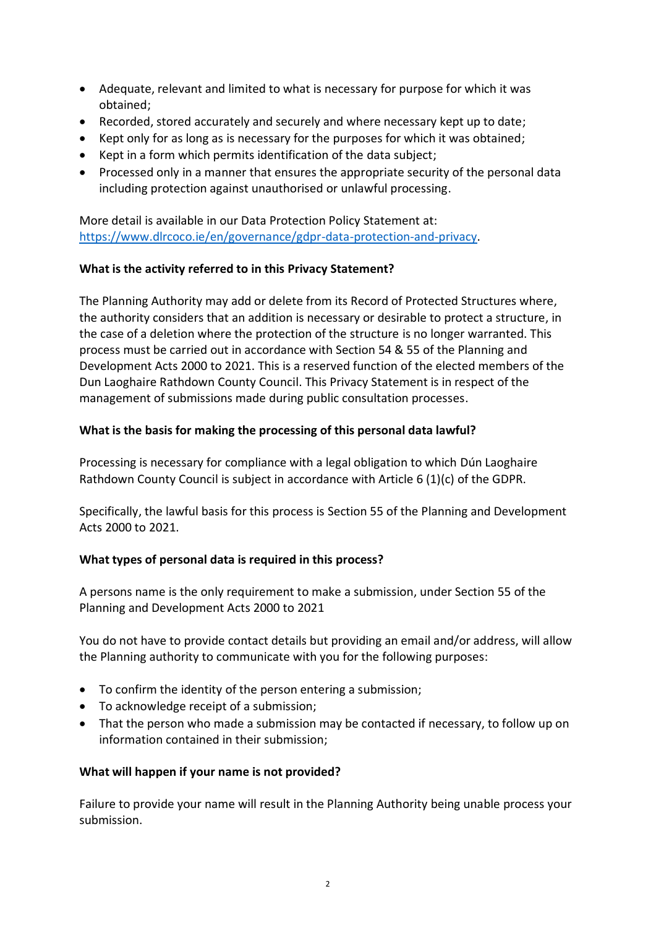- Adequate, relevant and limited to what is necessary for purpose for which it was obtained;
- Recorded, stored accurately and securely and where necessary kept up to date;
- Kept only for as long as is necessary for the purposes for which it was obtained;
- Kept in a form which permits identification of the data subject;
- Processed only in a manner that ensures the appropriate security of the personal data including protection against unauthorised or unlawful processing.

More detail is available in our Data Protection Policy Statement at: [https://www.dlrcoco.ie/en/governance/gdpr-data-protection-and-privacy.](https://www.dlrcoco.ie/en/governance/gdpr-data-protection-and-privacy)

# **What is the activity referred to in this Privacy Statement?**

The Planning Authority may add or delete from its Record of Protected Structures where, the authority considers that an addition is necessary or desirable to protect a structure, in the case of a deletion where the protection of the structure is no longer warranted. This process must be carried out in accordance with Section 54 & 55 of the Planning and Development Acts 2000 to 2021. This is a reserved function of the elected members of the Dun Laoghaire Rathdown County Council. This Privacy Statement is in respect of the management of submissions made during public consultation processes.

# **What is the basis for making the processing of this personal data lawful?**

Processing is necessary for compliance with a legal obligation to which Dún Laoghaire Rathdown County Council is subject in accordance with Article 6 (1)(c) of the GDPR.

Specifically, the lawful basis for this process is Section 55 of the Planning and Development Acts 2000 to 2021.

# **What types of personal data is required in this process?**

A persons name is the only requirement to make a submission, under Section 55 of the Planning and Development Acts 2000 to 2021

You do not have to provide contact details but providing an email and/or address, will allow the Planning authority to communicate with you for the following purposes:

- To confirm the identity of the person entering a submission;
- To acknowledge receipt of a submission;
- That the person who made a submission may be contacted if necessary, to follow up on information contained in their submission;

# **What will happen if your name is not provided?**

Failure to provide your name will result in the Planning Authority being unable process your submission.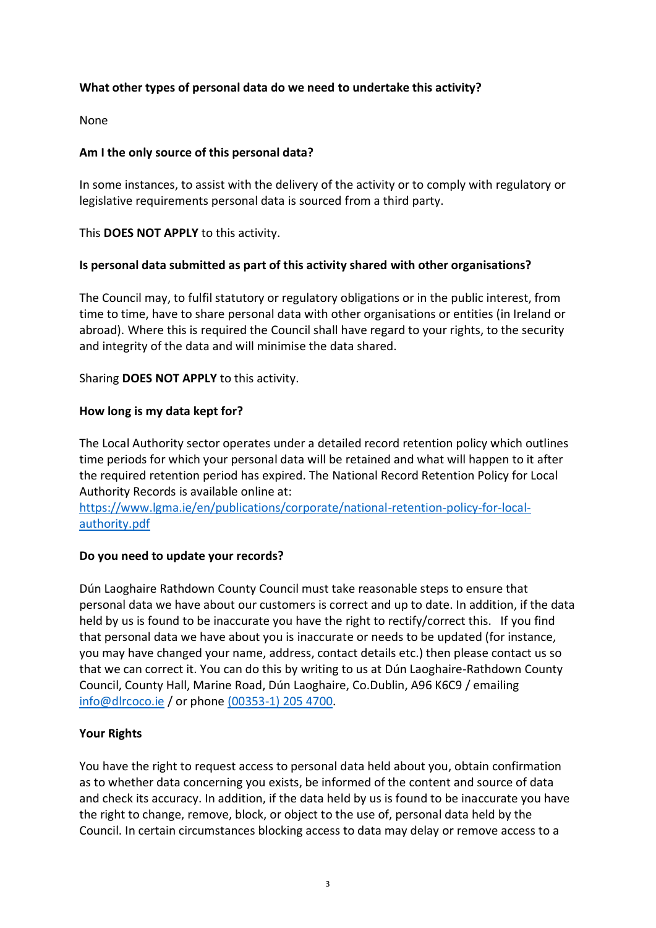# **What other types of personal data do we need to undertake this activity?**

None

#### **Am I the only source of this personal data?**

In some instances, to assist with the delivery of the activity or to comply with regulatory or legislative requirements personal data is sourced from a third party.

This **DOES NOT APPLY** to this activity.

## **Is personal data submitted as part of this activity shared with other organisations?**

The Council may, to fulfil statutory or regulatory obligations or in the public interest, from time to time, have to share personal data with other organisations or entities (in Ireland or abroad). Where this is required the Council shall have regard to your rights, to the security and integrity of the data and will minimise the data shared.

## Sharing **DOES NOT APPLY** to this activity.

## **How long is my data kept for?**

The Local Authority sector operates under a detailed record retention policy which outlines time periods for which your personal data will be retained and what will happen to it after the required retention period has expired. The National Record Retention Policy for Local Authority Records is available online at:

[https://www.lgma.ie/en/publications/corporate/national-retention-policy-for-local](https://www.lgma.ie/en/publications/corporate/national-retention-policy-for-local-authority.pdf)[authority.pdf](https://www.lgma.ie/en/publications/corporate/national-retention-policy-for-local-authority.pdf)

# **Do you need to update your records?**

Dún Laoghaire Rathdown County Council must take reasonable steps to ensure that personal data we have about our customers is correct and up to date. In addition, if the data held by us is found to be inaccurate you have the right to rectify/correct this. If you find that personal data we have about you is inaccurate or needs to be updated (for instance, you may have changed your name, address, contact details etc.) then please contact us so that we can correct it. You can do this by writing to us at Dún Laoghaire-Rathdown County Council, County Hall, Marine Road, Dún Laoghaire, Co.Dublin, A96 K6C9 / emailing [info@dlrcoco.ie](mailto:info@dlrcoco.ie) / or phone [\(00353-1\) 205](tel:0035312054700) 4700.

# **Your Rights**

You have the right to request access to personal data held about you, obtain confirmation as to whether data concerning you exists, be informed of the content and source of data and check its accuracy. In addition, if the data held by us is found to be inaccurate you have the right to change, remove, block, or object to the use of, personal data held by the Council. In certain circumstances blocking access to data may delay or remove access to a